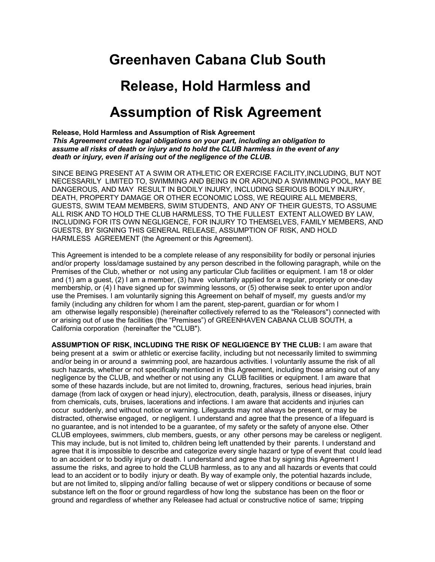## **Greenhaven Cabana Club South**

## **Release, Hold Harmless and Assumption of Risk Agreement**

**Release, Hold Harmless and Assumption of Risk Agreement** *This Agreement creates legal obligations on your part, including an obligation to assume all risks of death or injury and to hold the CLUB harmless in the event of any death or injury, even if arising out of the negligence of the CLUB.*

SINCE BEING PRESENT AT A SWIM OR ATHLETIC OR EXERCISE FACILITY,INCLUDING, BUT NOT NECESSARILY LIMITED TO, SWIMMING AND BEING IN OR AROUND A SWIMMING POOL, MAY BE DANGEROUS, AND MAY RESULT IN BODILY INJURY, INCLUDING SERIOUS BODILY INJURY, DEATH, PROPERTY DAMAGE OR OTHER ECONOMIC LOSS, WE REQUIRE ALL MEMBERS, GUESTS, SWIM TEAM MEMBERS, SWIM STUDENTS, AND ANY OF THEIR GUESTS, TO ASSUME ALL RISK AND TO HOLD THE CLUB HARMLESS, TO THE FULLEST EXTENT ALLOWED BY LAW, INCLUDING FOR ITS OWN NEGLIGENCE, FOR INJURY TO THEMSELVES, FAMILY MEMBERS, AND GUESTS, BY SIGNING THIS GENERAL RELEASE, ASSUMPTION OF RISK, AND HOLD HARMLESS AGREEMENT (the Agreement or this Agreement).

This Agreement is intended to be a complete release of any responsibility for bodily or personal injuries and/or property loss/damage sustained by any person described in the following paragraph, while on the Premises of the Club, whether or not using any particular Club facilities or equipment. I am 18 or older and (1) am a guest, (2) I am a member, (3) have voluntarily applied for a regular, propriety or one-day membership, or (4) I have signed up for swimming lessons, or (5) otherwise seek to enter upon and/or use the Premises. I am voluntarily signing this Agreement on behalf of myself, my guests and/or my family (including any children for whom I am the parent, step-parent, guardian or for whom I am otherwise legally responsible) (hereinafter collectively referred to as the "Releasors") connected with or arising out of use the facilities (the "Premises") of GREENHAVEN CABANA CLUB SOUTH, a California corporation (hereinafter the "CLUB").

**ASSUMPTION OF RISK, INCLUDING THE RISK OF NEGLIGENCE BY THE CLUB:** I am aware that being present at a swim or athletic or exercise facility, including but not necessarily limited to swimming and/or being in or around a swimming pool, are hazardous activities. I voluntarily assume the risk of all such hazards, whether or not specifically mentioned in this Agreement, including those arising out of any negligence by the CLUB, and whether or not using any CLUB facilities or equipment. I am aware that some of these hazards include, but are not limited to, drowning, fractures, serious head injuries, brain damage (from lack of oxygen or head injury), electrocution, death, paralysis, illness or diseases, injury from chemicals, cuts, bruises, lacerations and infections. I am aware that accidents and injuries can occur suddenly, and without notice or warning. Lifeguards may not always be present, or may be distracted, otherwise engaged, or negligent. I understand and agree that the presence of a lifeguard is no guarantee, and is not intended to be a guarantee, of my safety or the safety of anyone else. Other CLUB employees, swimmers, club members, guests, or any other persons may be careless or negligent. This may include, but is not limited to, children being left unattended by their parents. I understand and agree that it is impossible to describe and categorize every single hazard or type of event that could lead to an accident or to bodily injury or death. I understand and agree that by signing this Agreement I assume the risks, and agree to hold the CLUB harmless, as to any and all hazards or events that could lead to an accident or to bodily injury or death. By way of example only, the potential hazards include, but are not limited to, slipping and/or falling because of wet or slippery conditions or because of some substance left on the floor or ground regardless of how long the substance has been on the floor or ground and regardless of whether any Releasee had actual or constructive notice of same; tripping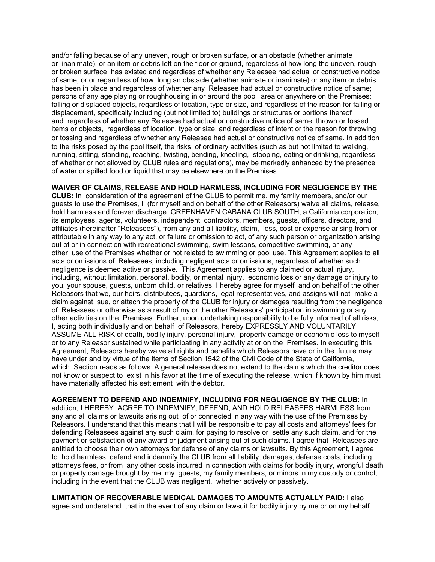and/or falling because of any uneven, rough or broken surface, or an obstacle (whether animate or inanimate), or an item or debris left on the floor or ground, regardless of how long the uneven, rough or broken surface has existed and regardless of whether any Releasee had actual or constructive notice of same, or or regardless of how long an obstacle (whether animate or inanimate) or any item or debris has been in place and regardless of whether any Releasee had actual or constructive notice of same; persons of any age playing or roughhousing in or around the pool area or anywhere on the Premises; falling or displaced objects, regardless of location, type or size, and regardless of the reason for falling or displacement, specifically including (but not limited to) buildings or structures or portions thereof and regardless of whether any Releasee had actual or constructive notice of same; thrown or tossed items or objects, regardless of location, type or size, and regardless of intent or the reason for throwing or tossing and regardless of whether any Releasee had actual or constructive notice of same. In addition to the risks posed by the pool itself, the risks of ordinary activities (such as but not limited to walking, running, sitting, standing, reaching, twisting, bending, kneeling, stooping, eating or drinking, regardless of whether or not allowed by CLUB rules and regulations), may be markedly enhanced by the presence of water or spilled food or liquid that may be elsewhere on the Premises.

**WAIVER OF CLAIMS, RELEASE AND HOLD HARMLESS, INCLUDING FOR NEGLIGENCE BY THE CLUB:** In consideration of the agreement of the CLUB to permit me, my family members, and/or our guests to use the Premises, I (for myself and on behalf of the other Releasors) waive all claims, release, hold harmless and forever discharge GREENHAVEN CABANA CLUB SOUTH, a California corporation, its employees, agents, volunteers, independent contractors, members, guests, officers, directors, and affiliates (hereinafter "Releasees"), from any and all liability, claim, loss, cost or expense arising from or attributable in any way to any act, or failure or omission to act, of any such person or organization arising out of or in connection with recreational swimming, swim lessons, competitive swimming, or any other use of the Premises whether or not related to swimming or pool use. This Agreement applies to all acts or omissions of Releasees, including negligent acts or omissions, regardless of whether such negligence is deemed active or passive. This Agreement applies to any claimed or actual injury, including, without limitation, personal, bodily, or mental injury, economic loss or any damage or injury to you, your spouse, guests, unborn child, or relatives. I hereby agree for myself and on behalf of the other Releasors that we, our heirs, distributees, guardians, legal representatives, and assigns will not make a claim against, sue, or attach the property of the CLUB for injury or damages resulting from the negligence of Releasees or otherwise as a result of my or the other Releasors' participation in swimming or any other activities on the Premises. Further, upon undertaking responsibility to be fully informed of all risks, I, acting both individually and on behalf of Releasors, hereby EXPRESSLY AND VOLUNTARILY ASSUME ALL RISK of death, bodily injury, personal injury, property damage or economic loss to myself or to any Releasor sustained while participating in any activity at or on the Premises. In executing this Agreement, Releasors hereby waive all rights and benefits which Releasors have or in the future may have under and by virtue of the items of Section 1542 of the Civil Code of the State of California, which Section reads as follows: A general release does not extend to the claims which the creditor does not know or suspect to exist in his favor at the time of executing the release, which if known by him must have materially affected his settlement with the debtor.

**AGREEMENT TO DEFEND AND INDEMNIFY, INCLUDING FOR NEGLIGENCE BY THE CLUB:** In addition, I HEREBY AGREE TO INDEMNIFY, DEFEND, AND HOLD RELEASEES HARMLESS from any and all claims or lawsuits arising out of or connected in any way with the use of the Premises by Releasors. I understand that this means that I will be responsible to pay all costs and attorneys' fees for defending Releasees against any such claim, for paying to resolve or settle any such claim, and for the payment or satisfaction of any award or judgment arising out of such claims. I agree that Releasees are entitled to choose their own attorneys for defense of any claims or lawsuits. By this Agreement, I agree to hold harmless, defend and indemnify the CLUB from all liability, damages, defense costs, including attorneys fees, or from any other costs incurred in connection with claims for bodily injury, wrongful death or property damage brought by me, my guests, my family members, or minors in my custody or control, including in the event that the CLUB was negligent, whether actively or passively.

**LIMITATION OF RECOVERABLE MEDICAL DAMAGES TO AMOUNTS ACTUALLY PAID:** I also agree and understand that in the event of any claim or lawsuit for bodily injury by me or on my behalf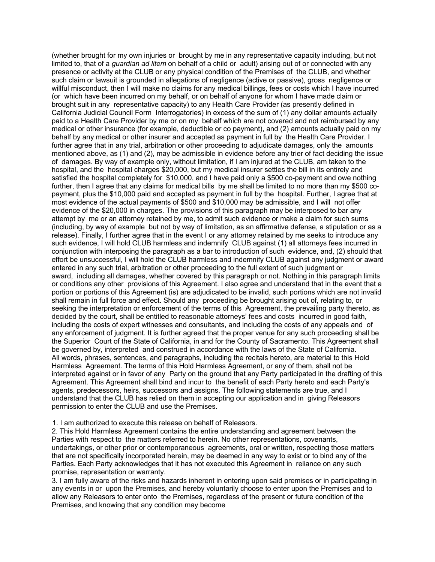(whether brought for my own injuries or brought by me in any representative capacity including, but not limited to, that of a *guardian ad litem* on behalf of a child or adult) arising out of or connected with any presence or activity at the CLUB or any physical condition of the Premises of the CLUB, and whether such claim or lawsuit is grounded in allegations of negligence (active or passive), gross negligence or willful misconduct, then I will make no claims for any medical billings, fees or costs which I have incurred (or which have been incurred on my behalf, or on behalf of anyone for whom I have made claim or brought suit in any representative capacity) to any Health Care Provider (as presently defined in California Judicial Council Form Interrogatories) in excess of the sum of (1) any dollar amounts actually paid to a Health Care Provider by me or on my behalf which are not covered and not reimbursed by any medical or other insurance (for example, deductible or co payment), and (2) amounts actually paid on my behalf by any medical or other insurer and accepted as payment in full by the Health Care Provider. I further agree that in any trial, arbitration or other proceeding to adjudicate damages, only the amounts mentioned above, as (1) and (2), may be admissible in evidence before any trier of fact deciding the issue of damages. By way of example only, without limitation, if I am injured at the CLUB, am taken to the hospital, and the hospital charges \$20,000, but my medical insurer settles the bill in its entirely and satisfied the hospital completely for \$10,000, and I have paid only a \$500 co-payment and owe nothing further, then I agree that any claims for medical bills by me shall be limited to no more than my \$500 copayment, plus the \$10,000 paid and accepted as payment in full by the hospital. Further, I agree that at most evidence of the actual payments of \$500 and \$10,000 may be admissible, and I will not offer evidence of the \$20,000 in charges. The provisions of this paragraph may be interposed to bar any attempt by me or an attorney retained by me, to admit such evidence or make a claim for such sums (including, by way of example but not by way of limitation, as an affirmative defense, a stipulation or as a release). Finally, I further agree that in the event I or any attorney retained by me seeks to introduce any such evidence, I will hold CLUB harmless and indemnify CLUB against (1) all attorneys fees incurred in conjunction with interposing the paragraph as a bar to introduction of such evidence, and, (2) should that effort be unsuccessful, I will hold the CLUB harmless and indemnify CLUB against any judgment or award entered in any such trial, arbitration or other proceeding to the full extent of such judgment or award, including all damages, whether covered by this paragraph or not. Nothing in this paragraph limits or conditions any other provisions of this Agreement. I also agree and understand that in the event that a portion or portions of this Agreement (is) are adjudicated to be invalid, such portions which are not invalid shall remain in full force and effect. Should any proceeding be brought arising out of, relating to, or seeking the interpretation or enforcement of the terms of this Agreement, the prevailing party thereto, as decided by the court, shall be entitled to reasonable attorneys' fees and costs incurred in good faith, including the costs of expert witnesses and consultants, and including the costs of any appeals and of any enforcement of judgment. It is further agreed that the proper venue for any such proceeding shall be the Superior Court of the State of California, in and for the County of Sacramento. This Agreement shall be governed by, interpreted and construed in accordance with the laws of the State of California. All words, phrases, sentences, and paragraphs, including the recitals hereto, are material to this Hold Harmless Agreement. The terms of this Hold Harmless Agreement, or any of them, shall not be interpreted against or in favor of any Party on the ground that any Party participated in the drafting of this Agreement. This Agreement shall bind and incur to the benefit of each Party hereto and each Party's agents, predecessors, heirs, successors and assigns. The following statements are true, and I understand that the CLUB has relied on them in accepting our application and in giving Releasors permission to enter the CLUB and use the Premises.

1. I am authorized to execute this release on behalf of Releasors.

2. This Hold Harmless Agreement contains the entire understanding and agreement between the Parties with respect to the matters referred to herein. No other representations, covenants, undertakings, or other prior or contemporaneous agreements, oral or written, respecting those matters that are not specifically incorporated herein, may be deemed in any way to exist or to bind any of the Parties. Each Party acknowledges that it has not executed this Agreement in reliance on any such promise, representation or warranty.

3. I am fully aware of the risks and hazards inherent in entering upon said premises or in participating in any events in or upon the Premises, and hereby voluntarily choose to enter upon the Premises and to allow any Releasors to enter onto the Premises, regardless of the present or future condition of the Premises, and knowing that any condition may become